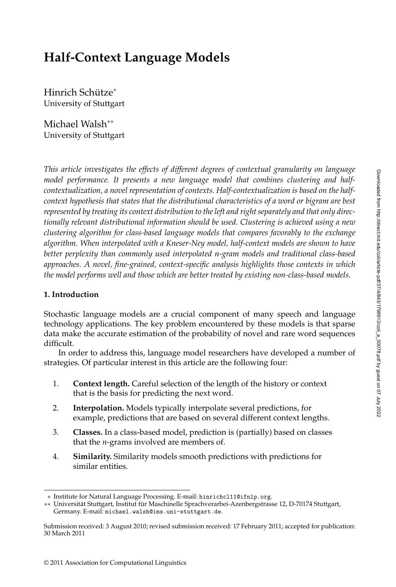# **Half-Context Language Models**

Hinrich Schütze<sup>\*</sup> University of Stuttgart

Michael Walsh∗∗ University of Stuttgart

*This article investigates the effects of different degrees of contextual granularity on language model performance. It presents a new language model that combines clustering and halfcontextualization, a novel representation of contexts. Half-contextualization is based on the halfcontext hypothesis that states that the distributional characteristics of a word or bigram are best represented by treating its context distribution to the left and right separately and that only directionally relevant distributional information should be used. Clustering is achieved using a new clustering algorithm for class-based language models that compares favorably to the exchange algorithm. When interpolated with a Kneser-Ney model, half-context models are shown to have better perplexity than commonly used interpolated n-gram models and traditional class-based approaches. A novel, fine-grained, context-specific analysis highlights those contexts in which the model performs well and those which are better treated by existing non-class-based models.*

#### **1. Introduction**

Stochastic language models are a crucial component of many speech and language technology applications. The key problem encountered by these models is that sparse data make the accurate estimation of the probability of novel and rare word sequences difficult.

In order to address this, language model researchers have developed a number of strategies. Of particular interest in this article are the following four:

- 1. **Context length.** Careful selection of the length of the history or context that is the basis for predicting the next word.
- 2. **Interpolation.** Models typically interpolate several predictions, for example, predictions that are based on several different context lengths.
- 3. **Classes.** In a class-based model, prediction is (partially) based on classes that the *n*-grams involved are members of.
- 4. **Similarity.** Similarity models smooth predictions with predictions for similar entities.

<sup>∗</sup> Institute for Natural Language Processing. E-mail: hinrichcl11@ifnlp.org.

<sup>∗∗</sup> Universität Stuttgart, Institut für Maschinelle Sprachverarbei-Azenbergstrasse 12, D-70174 Stuttgart, Germany. E-mail: michael.walsh@ims.uni-stuttgart.de.

Submission received: 3 August 2010; revised submission received: 17 February 2011; accepted for publication: 30 March 2011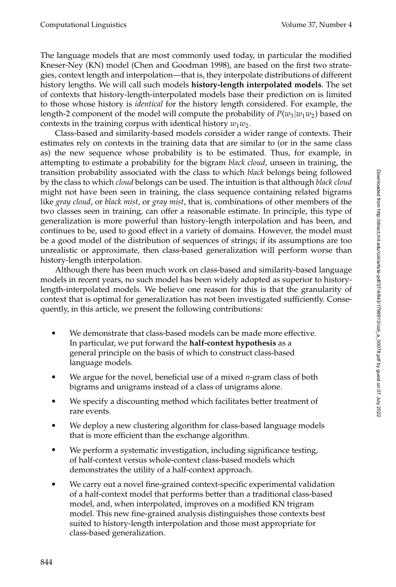The language models that are most commonly used today, in particular the modified Kneser-Ney (KN) model (Chen and Goodman 1998), are based on the first two strategies, context length and interpolation—that is, they interpolate distributions of different history lengths. We will call such models **history-length interpolated models**. The set of contexts that history-length-interpolated models base their prediction on is limited to those whose history is *identical* for the history length considered. For example, the length-2 component of the model will compute the probability of  $P(w_3|w_1w_2)$  based on contexts in the training corpus with identical history  $w_1w_2$ .

Class-based and similarity-based models consider a wider range of contexts. Their estimates rely on contexts in the training data that are similar to (or in the same class as) the new sequence whose probability is to be estimated. Thus, for example, in attempting to estimate a probability for the bigram *black cloud*, unseen in training, the transition probability associated with the class to which *black* belongs being followed by the class to which *cloud* belongs can be used. The intuition is that although *black cloud* might not have been seen in training, the class sequence containing related bigrams like *gray cloud*, or *black mist*, or *gray mist*, that is, combinations of other members of the two classes seen in training, can offer a reasonable estimate. In principle, this type of generalization is more powerful than history-length interpolation and has been, and continues to be, used to good effect in a variety of domains. However, the model must be a good model of the distribution of sequences of strings; if its assumptions are too unrealistic or approximate, then class-based generalization will perform worse than history-length interpolation.

Although there has been much work on class-based and similarity-based language models in recent years, no such model has been widely adopted as superior to historylength-interpolated models. We believe one reason for this is that the granularity of context that is optimal for generalization has not been investigated sufficiently. Consequently, in this article, we present the following contributions:

- - We demonstrate that class-based models can be made more effective. In particular, we put forward the **half-context hypothesis** as a general principle on the basis of which to construct class-based language models.
- - We argue for the novel, beneficial use of a mixed *n*-gram class of both bigrams and unigrams instead of a class of unigrams alone.
- - We specify a discounting method which facilitates better treatment of rare events.
- - We deploy a new clustering algorithm for class-based language models that is more efficient than the exchange algorithm.
- - We perform a systematic investigation, including significance testing, of half-context versus whole-context class-based models which demonstrates the utility of a half-context approach.
- - We carry out a novel fine-grained context-specific experimental validation of a half-context model that performs better than a traditional class-based model, and, when interpolated, improves on a modified KN trigram model. This new fine-grained analysis distinguishes those contexts best suited to history-length interpolation and those most appropriate for class-based generalization.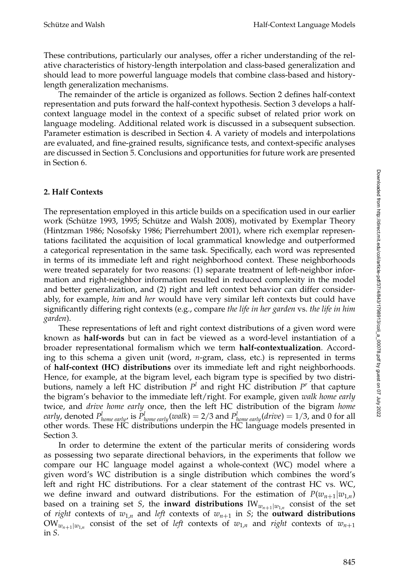These contributions, particularly our analyses, offer a richer understanding of the relative characteristics of history-length interpolation and class-based generalization and should lead to more powerful language models that combine class-based and historylength generalization mechanisms.

The remainder of the article is organized as follows. Section 2 defines half-context representation and puts forward the half-context hypothesis. Section 3 develops a halfcontext language model in the context of a specific subset of related prior work on language modeling. Additional related work is discussed in a subsequent subsection. Parameter estimation is described in Section 4. A variety of models and interpolations are evaluated, and fine-grained results, significance tests, and context-specific analyses are discussed in Section 5. Conclusions and opportunities for future work are presented in Section 6.

# **2. Half Contexts**

The representation employed in this article builds on a specification used in our earlier work (Schütze 1993, 1995; Schütze and Walsh 2008), motivated by Exemplar Theory (Hintzman 1986; Nosofsky 1986; Pierrehumbert 2001), where rich exemplar representations facilitated the acquisition of local grammatical knowledge and outperformed a categorical representation in the same task. Specifically, each word was represented in terms of its immediate left and right neighborhood context. These neighborhoods were treated separately for two reasons: (1) separate treatment of left-neighbor information and right-neighbor information resulted in reduced complexity in the model and better generalization, and (2) right and left context behavior can differ considerably, for example, *him* and *her* would have very similar left contexts but could have significantly differing right contexts (e.g., compare *the life in her garden* vs. *the life in him garden*).

These representations of left and right context distributions of a given word were known as **half-words** but can in fact be viewed as a word-level instantiation of a broader representational formalism which we term **half-contextualization**. According to this schema a given unit (word, *n*-gram, class, etc.) is represented in terms of **half-context (HC) distributions** over its immediate left and right neighborhoods. Hence, for example, at the bigram level, each bigram type is specified by two distributions, namely a left HC distribution  $P^l$  and right HC distribution  $P^r$  that capture the bigram's behavior to the immediate left/right. For example, given *walk home early* twice, and *drive home early* once, then the left HC distribution of the bigram *home early, denoted*  $P^l_{home\ early}$ *, is*  $P^l_{home\ early}(walk) = 2/3$  *and*  $P^l_{home\ early}(drive) = 1/3$ *, and 0 for all* other words. These HC distributions underpin the HC language models presented in Section 3.

In order to determine the extent of the particular merits of considering words as possessing two separate directional behaviors, in the experiments that follow we compare our HC language model against a whole-context (WC) model where a given word's WC distribution is a single distribution which combines the word's left and right HC distributions. For a clear statement of the contrast HC vs. WC, we define inward and outward distributions. For the estimation of  $P(w_{n+1}|w_{1,n})$ based on a training set *S*, the **inward distributions**  $IW_{w_{n+1}|w_{1,n}}$  consist of the set of *right* contexts of  $w_{1,n}$  and *left* contexts of  $w_{n+1}$  in *S*; the **outward distributions**  $OW_{w_{n+1}|w_1}$  consist of the set of *left* contexts of  $w_{1,n}$  and *right* contexts of  $w_{n+1}$ in *S*.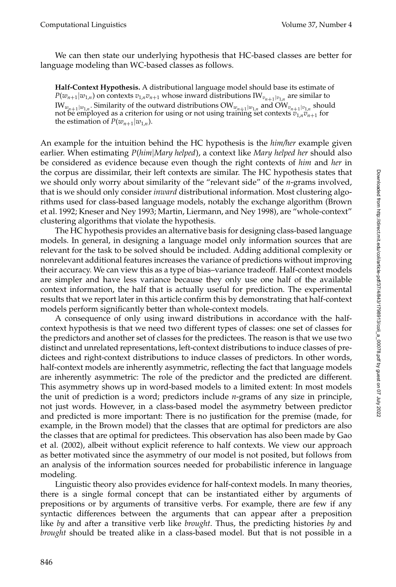We can then state our underlying hypothesis that HC-based classes are better for language modeling than WC-based classes as follows.

**Half-Context Hypothesis.** A distributional language model should base its estimate of  $P(w_{n+1}|w_{1,n})$  on contexts  $v_{1,n}v_{n+1}$  whose inward distributions IW<sub> $v_{n+1}|v_{1,n}$  are similar to</sub>  $IW_{w_{n+1}|w_{1,n}}$ . Similarity of the outward distributions  $OW_{w_{n+1}|w_{1,n}}$  and  $OW_{v_{n+1}|v_{1,n}}$  should not be employed as a criterion for using or not using training set contexts  $v_{1,n}v_{n+1}$  for the estimation of  $P(w_{n+1}|w_{1,n})$ .

An example for the intuition behind the HC hypothesis is the *him/her* example given earlier. When estimating *P*(*him*|*Mary helped*), a context like *Mary helped her* should also be considered as evidence because even though the right contexts of *him* and *her* in the corpus are dissimilar, their left contexts are similar. The HC hypothesis states that we should only worry about similarity of the "relevant side" of the *n*-grams involved, that is we should only consider *inward* distributional information. Most clustering algorithms used for class-based language models, notably the exchange algorithm (Brown et al. 1992; Kneser and Ney 1993; Martin, Liermann, and Ney 1998), are "whole-context" clustering algorithms that violate the hypothesis.

The HC hypothesis provides an alternative basis for designing class-based language models. In general, in designing a language model only information sources that are relevant for the task to be solved should be included. Adding additional complexity or nonrelevant additional features increases the variance of predictions without improving their accuracy. We can view this as a type of bias–variance tradeoff. Half-context models are simpler and have less variance because they only use one half of the available context information, the half that is actually useful for prediction. The experimental results that we report later in this article confirm this by demonstrating that half-context models perform significantly better than whole-context models.

A consequence of only using inward distributions in accordance with the halfcontext hypothesis is that we need two different types of classes: one set of classes for the predictors and another set of classes for the predictees. The reason is that we use two distinct and unrelated representations, left-context distributions to induce classes of predictees and right-context distributions to induce classes of predictors. In other words, half-context models are inherently asymmetric, reflecting the fact that language models are inherently asymmetric: The role of the predictor and the predicted are different. This asymmetry shows up in word-based models to a limited extent: In most models the unit of prediction is a word; predictors include *n*-grams of any size in principle, not just words. However, in a class-based model the asymmetry between predictor and predicted is more important: There is no justification for the premise (made, for example, in the Brown model) that the classes that are optimal for predictors are also the classes that are optimal for predictees. This observation has also been made by Gao et al. (2002), albeit without explicit reference to half contexts. We view our approach as better motivated since the asymmetry of our model is not posited, but follows from an analysis of the information sources needed for probabilistic inference in language modeling.

Linguistic theory also provides evidence for half-context models. In many theories, there is a single formal concept that can be instantiated either by arguments of prepositions or by arguments of transitive verbs. For example, there are few if any syntactic differences between the arguments that can appear after a preposition like *by* and after a transitive verb like *brought*. Thus, the predicting histories *by* and *brought* should be treated alike in a class-based model. But that is not possible in a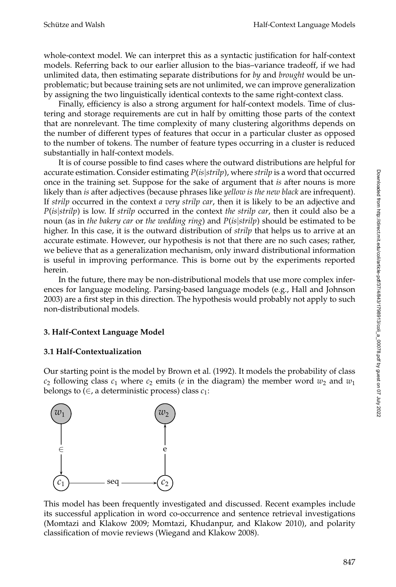whole-context model. We can interpret this as a syntactic justification for half-context models. Referring back to our earlier allusion to the bias–variance tradeoff, if we had unlimited data, then estimating separate distributions for *by* and *brought* would be unproblematic; but because training sets are not unlimited, we can improve generalization by assigning the two linguistically identical contexts to the same right-context class.

Finally, efficiency is also a strong argument for half-context models. Time of clustering and storage requirements are cut in half by omitting those parts of the context that are nonrelevant. The time complexity of many clustering algorithms depends on the number of different types of features that occur in a particular cluster as opposed to the number of tokens. The number of feature types occurring in a cluster is reduced substantially in half-context models.

It is of course possible to find cases where the outward distributions are helpful for accurate estimation. Consider estimating *P*(*is*|*strilp*), where *strilp* is a word that occurred once in the training set. Suppose for the sake of argument that *is* after nouns is more likely than *is* after adjectives (because phrases like *yellow is the new black* are infrequent). If *strilp* occurred in the context *a very strilp car*, then it is likely to be an adjective and *P*(*is*|*strilp*) is low. If *strilp* occurred in the context *the strilp car*, then it could also be a noun (as in *the bakery car* or *the wedding ring*) and *P*(*is*|*strilp*) should be estimated to be higher. In this case, it is the outward distribution of *strilp* that helps us to arrive at an accurate estimate. However, our hypothesis is not that there are no such cases; rather, we believe that as a generalization mechanism, only inward distributional information is useful in improving performance. This is borne out by the experiments reported herein.

In the future, there may be non-distributional models that use more complex inferences for language modeling. Parsing-based language models (e.g., Hall and Johnson 2003) are a first step in this direction. The hypothesis would probably not apply to such non-distributional models.

# **3. Half-Context Language Model**

# **3.1 Half-Contextualization**

Our starting point is the model by Brown et al. (1992). It models the probability of class  $c_2$  following class  $c_1$  where  $c_2$  emits (*e* in the diagram) the member word  $w_2$  and  $w_1$ belongs to  $(\in$ , a deterministic process) class  $c_1$ :



This model has been frequently investigated and discussed. Recent examples include its successful application in word co-occurrence and sentence retrieval investigations (Momtazi and Klakow 2009; Momtazi, Khudanpur, and Klakow 2010), and polarity classification of movie reviews (Wiegand and Klakow 2008).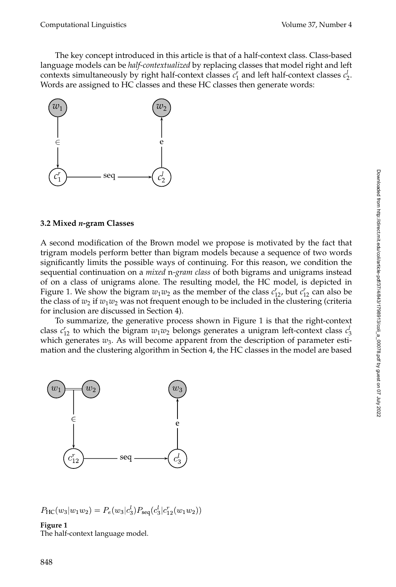The key concept introduced in this article is that of a half-context class. Class-based language models can be *half-contextualized* by replacing classes that model right and left contexts simultaneously by right half-context classes  $c_1^r$  and left half-context classes  $c_2^l$ . Words are assigned to HC classes and these HC classes then generate words:



#### **3.2 Mixed** *n***-gram Classes**

A second modification of the Brown model we propose is motivated by the fact that trigram models perform better than bigram models because a sequence of two words significantly limits the possible ways of continuing. For this reason, we condition the sequential continuation on a *mixed* n*-gram class* of both bigrams and unigrams instead of on a class of unigrams alone. The resulting model, the HC model, is depicted in Figure 1. We show the bigram  $w_1w_2$  as the member of the class  $c_{12}^r$ , but  $c_{12}^r$  can also be the class of  $w_2$  if  $w_1w_2$  was not frequent enough to be included in the clustering (criteria for inclusion are discussed in Section 4).

To summarize, the generative process shown in Figure 1 is that the right-context class  $c_{12}^r$  to which the bigram  $w_1w_2$  belongs generates a unigram left-context class  $c_3^l$ which generates  $w_3$ . As will become apparent from the description of parameter estimation and the clustering algorithm in Section 4, the HC classes in the model are based



 $P_{\rm HC}(w_3|w_1w_2) = P_e(w_3|c_3^l)P_{\rm seq}(c_3^l|c_{12}^r(w_1w_2))$ 

**Figure 1** The half-context language model.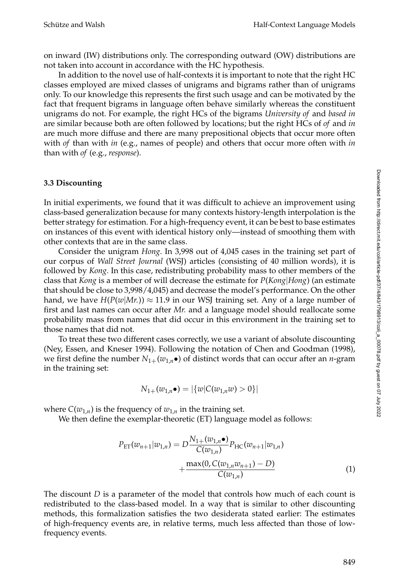on inward (IW) distributions only. The corresponding outward (OW) distributions are not taken into account in accordance with the HC hypothesis.

In addition to the novel use of half-contexts it is important to note that the right HC classes employed are mixed classes of unigrams and bigrams rather than of unigrams only. To our knowledge this represents the first such usage and can be motivated by the fact that frequent bigrams in language often behave similarly whereas the constituent unigrams do not. For example, the right HCs of the bigrams *University of* and *based in* are similar because both are often followed by locations; but the right HCs of *of* and *in* are much more diffuse and there are many prepositional objects that occur more often with *of* than with *in* (e.g., names of people) and others that occur more often with *in* than with *of* (e.g., *response*).

## **3.3 Discounting**

In initial experiments, we found that it was difficult to achieve an improvement using class-based generalization because for many contexts history-length interpolation is the better strategy for estimation. For a high-frequency event, it can be best to base estimates on instances of this event with identical history only—instead of smoothing them with other contexts that are in the same class.

Consider the unigram *Hong*. In 3,998 out of 4,045 cases in the training set part of our corpus of *Wall Street Journal* (WSJ) articles (consisting of 40 million words), it is followed by *Kong*. In this case, redistributing probability mass to other members of the class that *Kong* is a member of will decrease the estimate for *P*(*Kong*|*Hong*) (an estimate that should be close to 3,998/4,045) and decrease the model's performance. On the other hand, we have  $H(P(w|Mr)) \approx 11.9$  in our WSJ training set. Any of a large number of first and last names can occur after *Mr.* and a language model should reallocate some probability mass from names that did occur in this environment in the training set to those names that did not.

To treat these two different cases correctly, we use a variant of absolute discounting (Ney, Essen, and Kneser 1994). Following the notation of Chen and Goodman (1998), we first define the number  $N_{1+}(w_{1,n}\bullet)$  of distinct words that can occur after an *n*-gram in the training set:

$$
N_{1+}(w_{1,n}\bullet) = |\{w|C(w_{1,n}w) > 0\}|
$$

where  $C(w_{1,n})$  is the frequency of  $w_{1,n}$  in the training set.

We then define the exemplar-theoretic (ET) language model as follows:

$$
P_{\text{ET}}(w_{n+1}|w_{1,n}) = D \frac{N_{1+}(w_{1,n} \bullet)}{C(w_{1,n})} P_{\text{HC}}(w_{n+1}|w_{1,n}) + \frac{\max(0, C(w_{1,n}w_{n+1}) - D)}{C(w_{1,n})}
$$
(1)

The discount *D* is a parameter of the model that controls how much of each count is redistributed to the class-based model. In a way that is similar to other discounting methods, this formalization satisfies the two desiderata stated earlier: The estimates of high-frequency events are, in relative terms, much less affected than those of lowfrequency events.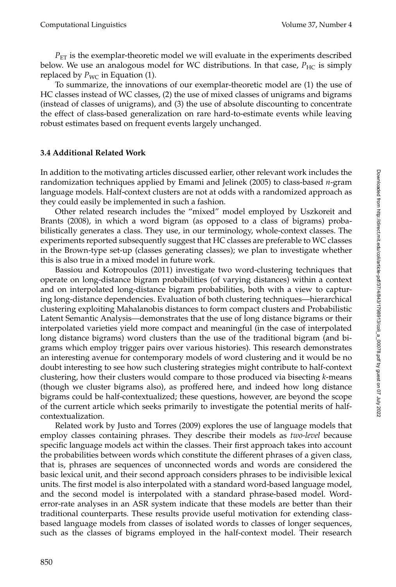*P*ET is the exemplar-theoretic model we will evaluate in the experiments described below. We use an analogous model for WC distributions. In that case,  $P_{\text{HC}}$  is simply replaced by  $P_{\text{WC}}$  in Equation (1).

To summarize, the innovations of our exemplar-theoretic model are (1) the use of HC classes instead of WC classes, (2) the use of mixed classes of unigrams and bigrams (instead of classes of unigrams), and (3) the use of absolute discounting to concentrate the effect of class-based generalization on rare hard-to-estimate events while leaving robust estimates based on frequent events largely unchanged.

## **3.4 Additional Related Work**

In addition to the motivating articles discussed earlier, other relevant work includes the randomization techniques applied by Emami and Jelinek (2005) to class-based *n*-gram language models. Half-context clusters are not at odds with a randomized approach as they could easily be implemented in such a fashion.

Other related research includes the "mixed" model employed by Uszkoreit and Brants (2008), in which a word bigram (as opposed to a class of bigrams) probabilistically generates a class. They use, in our terminology, whole-context classes. The experiments reported subsequently suggest that HC classes are preferable to WC classes in the Brown-type set-up (classes generating classes); we plan to investigate whether this is also true in a mixed model in future work.

Bassiou and Kotropoulos (2011) investigate two word-clustering techniques that operate on long-distance bigram probabilities (of varying distances) within a context and on interpolated long-distance bigram probabilities, both with a view to capturing long-distance dependencies. Evaluation of both clustering techniques—hierarchical clustering exploiting Mahalanobis distances to form compact clusters and Probabilistic Latent Semantic Analysis—demonstrates that the use of long distance bigrams or their interpolated varieties yield more compact and meaningful (in the case of interpolated long distance bigrams) word clusters than the use of the traditional bigram (and bigrams which employ trigger pairs over various histories). This research demonstrates an interesting avenue for contemporary models of word clustering and it would be no doubt interesting to see how such clustering strategies might contribute to half-context clustering, how their clusters would compare to those produced via bisecting *k*-means (though we cluster bigrams also), as proffered here, and indeed how long distance bigrams could be half-contextualized; these questions, however, are beyond the scope of the current article which seeks primarily to investigate the potential merits of halfcontextualization.

Related work by Justo and Torres (2009) explores the use of language models that employ classes containing phrases. They describe their models as *two-level* because specific language models act within the classes. Their first approach takes into account the probabilities between words which constitute the different phrases of a given class, that is, phrases are sequences of unconnected words and words are considered the basic lexical unit, and their second approach considers phrases to be indivisible lexical units. The first model is also interpolated with a standard word-based language model, and the second model is interpolated with a standard phrase-based model. Worderror-rate analyses in an ASR system indicate that these models are better than their traditional counterparts. These results provide useful motivation for extending classbased language models from classes of isolated words to classes of longer sequences, such as the classes of bigrams employed in the half-context model. Their research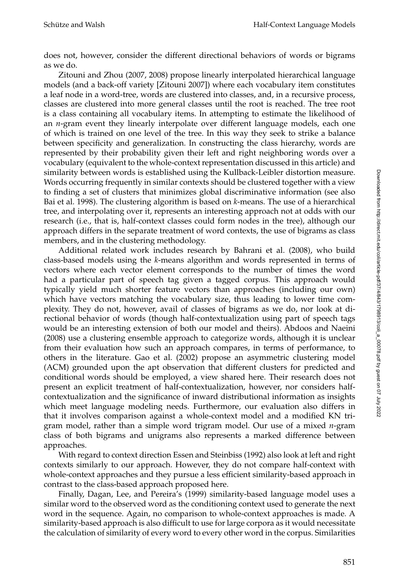does not, however, consider the different directional behaviors of words or bigrams as we do.

Zitouni and Zhou (2007, 2008) propose linearly interpolated hierarchical language models (and a back-off variety [Zitouni 2007]) where each vocabulary item constitutes a leaf node in a word-tree, words are clustered into classes, and, in a recursive process, classes are clustered into more general classes until the root is reached. The tree root is a class containing all vocabulary items. In attempting to estimate the likelihood of an *n*-gram event they linearly interpolate over different language models, each one of which is trained on one level of the tree. In this way they seek to strike a balance between specificity and generalization. In constructing the class hierarchy, words are represented by their probability given their left and right neighboring words over a vocabulary (equivalent to the whole-context representation discussed in this article) and similarity between words is established using the Kullback-Leibler distortion measure. Words occurring frequently in similar contexts should be clustered together with a view to finding a set of clusters that minimizes global discriminative information (see also Bai et al. 1998). The clustering algorithm is based on *k*-means. The use of a hierarchical tree, and interpolating over it, represents an interesting approach not at odds with our research (i.e., that is, half-context classes could form nodes in the tree), although our approach differs in the separate treatment of word contexts, the use of bigrams as class members, and in the clustering methodology.

Additional related work includes research by Bahrani et al. (2008), who build class-based models using the *k*-means algorithm and words represented in terms of vectors where each vector element corresponds to the number of times the word had a particular part of speech tag given a tagged corpus. This approach would typically yield much shorter feature vectors than approaches (including our own) which have vectors matching the vocabulary size, thus leading to lower time complexity. They do not, however, avail of classes of bigrams as we do, nor look at directional behavior of words (though half-contextualization using part of speech tags would be an interesting extension of both our model and theirs). Abdoos and Naeini (2008) use a clustering ensemble approach to categorize words, although it is unclear from their evaluation how such an approach compares, in terms of performance, to others in the literature. Gao et al. (2002) propose an asymmetric clustering model (ACM) grounded upon the apt observation that different clusters for predicted and conditional words should be employed, a view shared here. Their research does not present an explicit treatment of half-contextualization, however, nor considers halfcontextualization and the significance of inward distributional information as insights which meet language modeling needs. Furthermore, our evaluation also differs in that it involves comparison against a whole-context model and a modified KN trigram model, rather than a simple word trigram model. Our use of a mixed *n*-gram class of both bigrams and unigrams also represents a marked difference between approaches.

With regard to context direction Essen and Steinbiss (1992) also look at left and right contexts similarly to our approach. However, they do not compare half-context with whole-context approaches and they pursue a less efficient similarity-based approach in contrast to the class-based approach proposed here.

Finally, Dagan, Lee, and Pereira's (1999) similarity-based language model uses a similar word to the observed word as the conditioning context used to generate the next word in the sequence. Again, no comparison to whole-context approaches is made. A similarity-based approach is also difficult to use for large corpora as it would necessitate the calculation of similarity of every word to every other word in the corpus. Similarities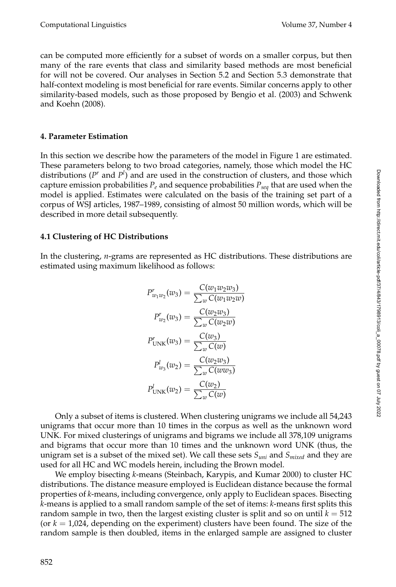can be computed more efficiently for a subset of words on a smaller corpus, but then many of the rare events that class and similarity based methods are most beneficial for will not be covered. Our analyses in Section 5.2 and Section 5.3 demonstrate that half-context modeling is most beneficial for rare events. Similar concerns apply to other similarity-based models, such as those proposed by Bengio et al. (2003) and Schwenk and Koehn (2008).

#### **4. Parameter Estimation**

In this section we describe how the parameters of the model in Figure 1 are estimated. These parameters belong to two broad categories, namely, those which model the HC distributions  $(P^r$  and  $P^l$ ) and are used in the construction of clusters, and those which capture emission probabilities  $P_e$  and sequence probabilities  $P_{seq}$  that are used when the model is applied. Estimates were calculated on the basis of the training set part of a corpus of WSJ articles, 1987–1989, consisting of almost 50 million words, which will be described in more detail subsequently.

## **4.1 Clustering of HC Distributions**

In the clustering, *n*-grams are represented as HC distributions. These distributions are estimated using maximum likelihood as follows:

$$
P_{w_1w_2}^r(w_3) = \frac{C(w_1w_2w_3)}{\sum_w C(w_1w_2w)}
$$

$$
P_{w_2}^r(w_3) = \frac{C(w_2w_3)}{\sum_w C(w_2w)}
$$

$$
P_{\text{UNK}}^r(w_3) = \frac{C(w_3)}{\sum_w C(w)}
$$

$$
P_{w_3}^l(w_2) = \frac{C(w_2w_3)}{\sum_w C(ww_3)}
$$

$$
P_{\text{UNK}}^l(w_2) = \frac{C(w_2)}{\sum_w C(w)}
$$

Only a subset of items is clustered. When clustering unigrams we include all 54,243 unigrams that occur more than 10 times in the corpus as well as the unknown word UNK. For mixed clusterings of unigrams and bigrams we include all 378,109 unigrams and bigrams that occur more than 10 times and the unknown word UNK (thus, the unigram set is a subset of the mixed set). We call these sets *Suni* and *Smixed* and they are used for all HC and WC models herein, including the Brown model.

We employ bisecting *k*-means (Steinbach, Karypis, and Kumar 2000) to cluster HC distributions. The distance measure employed is Euclidean distance because the formal properties of *k*-means, including convergence, only apply to Euclidean spaces. Bisecting *k*-means is applied to a small random sample of the set of items: *k*-means first splits this random sample in two, then the largest existing cluster is split and so on until  $k = 512$ (or  $k = 1.024$ , depending on the experiment) clusters have been found. The size of the random sample is then doubled, items in the enlarged sample are assigned to cluster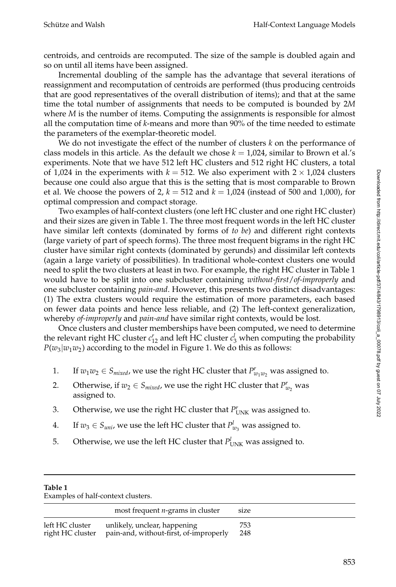centroids, and centroids are recomputed. The size of the sample is doubled again and so on until all items have been assigned.

Incremental doubling of the sample has the advantage that several iterations of reassignment and recomputation of centroids are performed (thus producing centroids that are good representatives of the overall distribution of items); and that at the same time the total number of assignments that needs to be computed is bounded by 2*M* where *M* is the number of items. Computing the assignments is responsible for almost all the computation time of *k*-means and more than 90% of the time needed to estimate the parameters of the exemplar-theoretic model.

We do not investigate the effect of the number of clusters *k* on the performance of class models in this article. As the default we chose  $k = 1,024$ , similar to Brown et al.'s experiments. Note that we have 512 left HC clusters and 512 right HC clusters, a total of 1,024 in the experiments with  $k = 512$ . We also experiment with  $2 \times 1.024$  clusters because one could also argue that this is the setting that is most comparable to Brown et al. We choose the powers of 2,  $k = 512$  and  $k = 1,024$  (instead of 500 and 1,000), for optimal compression and compact storage.

Two examples of half-context clusters (one left HC cluster and one right HC cluster) and their sizes are given in Table 1. The three most frequent words in the left HC cluster have similar left contexts (dominated by forms of *to be*) and different right contexts (large variety of part of speech forms). The three most frequent bigrams in the right HC cluster have similar right contexts (dominated by gerunds) and dissimilar left contexts (again a large variety of possibilities). In traditional whole-context clusters one would need to split the two clusters at least in two. For example, the right HC cluster in Table 1 would have to be split into one subcluster containing *without-first*/*of-improperly* and one subcluster containing *pain-and*. However, this presents two distinct disadvantages: (1) The extra clusters would require the estimation of more parameters, each based on fewer data points and hence less reliable, and (2) The left-context generalization, whereby *of-improperly* and *pain-and* have similar right contexts, would be lost.

Once clusters and cluster memberships have been computed, we need to determine the relevant right HC cluster  $c_{12}^r$  and left HC cluster  $c_3^l$  when computing the probability  $P(w_3|w_1w_2)$  according to the model in Figure 1. We do this as follows:

- 1. If  $w_1w_2 \in S_{mixed}$ , we use the right HC cluster that  $P^r_{w_1w_2}$  was assigned to.
- 2. Otherwise, if  $w_2 \in S_{mixed}$ , we use the right HC cluster that  $P_{w_2}^r$  was assigned to.
- 3. Otherwise, we use the right HC cluster that  $P_{UNK}^r$  was assigned to.
- 4. If  $w_3 \in S_{uni}$ , we use the left HC cluster that  $P_{w_3}^l$  was assigned to.
- 5. Otherwise, we use the left HC cluster that  $P^l_{UNK}$  was assigned to.

| Table 1 |                                    |
|---------|------------------------------------|
|         | Examples of half-context clusters. |

|                 | most frequent $n$ -grams in cluster                                                     | size       |  |
|-----------------|-----------------------------------------------------------------------------------------|------------|--|
| left HC cluster | unlikely, unclear, happening<br>right HC cluster pain-and, without-first, of-improperly | 753<br>248 |  |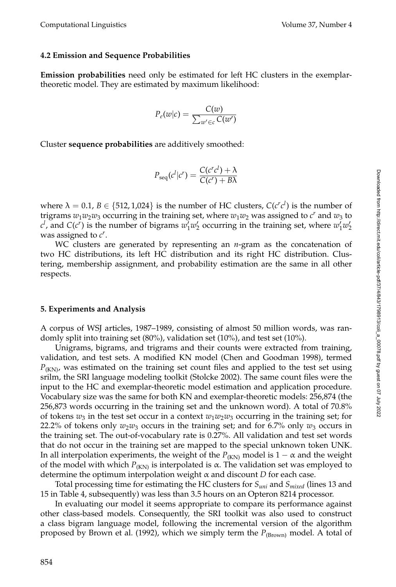#### **4.2 Emission and Sequence Probabilities**

**Emission probabilities** need only be estimated for left HC clusters in the exemplartheoretic model. They are estimated by maximum likelihood:

$$
P_e(w|c) = \frac{C(w)}{\sum_{w' \in c} C(w')}
$$

Cluster **sequence probabilities** are additively smoothed:

$$
P_{\text{seq}}(c^l|c^r) = \frac{C(c^rc^l) + \lambda}{C(c^r) + B\lambda}
$$

where  $\lambda = 0.1$ ,  $B \in \{512, 1,024\}$  is the number of HC clusters,  $C(c^r c^l)$  is the number of trigrams  $w_1w_2w_3$  occurring in the training set, where  $w_1w_2$  was assigned to  $c^r$  and  $w_3$  to  $c^l$ , and  $C(c^r)$  is the number of bigrams  $w'_1w'_2$  occurring in the training set, where  $w'_1w'_2$ was assigned to *c<sup>r</sup>* .

WC clusters are generated by representing an *n*-gram as the concatenation of two HC distributions, its left HC distribution and its right HC distribution. Clustering, membership assignment, and probability estimation are the same in all other respects.

#### **5. Experiments and Analysis**

A corpus of WSJ articles, 1987–1989, consisting of almost 50 million words, was randomly split into training set (80%), validation set (10%), and test set (10%).

Unigrams, bigrams, and trigrams and their counts were extracted from training, validation, and test sets. A modified KN model (Chen and Goodman 1998), termed  $P_{(KN)}$ , was estimated on the training set count files and applied to the test set using srilm, the SRI language modeling toolkit (Stolcke 2002). The same count files were the input to the HC and exemplar-theoretic model estimation and application procedure. Vocabulary size was the same for both KN and exemplar-theoretic models: 256,874 (the 256,873 words occurring in the training set and the unknown word). A total of 70.8% of tokens  $w_3$  in the test set occur in a context  $w_1w_2w_3$  occurring in the training set; for 22.2% of tokens only  $w_2w_3$  occurs in the training set; and for 6.7% only  $w_3$  occurs in the training set. The out-of-vocabulary rate is 0.27%. All validation and test set words that do not occur in the training set are mapped to the special unknown token UNK. In all interpolation experiments, the weight of the  $P_{(KN)}$  model is  $1 - \alpha$  and the weight of the model with which  $P_{(KN)}$  is interpolated is  $\alpha$ . The validation set was employed to determine the optimum interpolation weight α and discount *D* for each case.

Total processing time for estimating the HC clusters for *Suni* and *Smixed* (lines 13 and 15 in Table 4, subsequently) was less than 3.5 hours on an Opteron 8214 processor.

In evaluating our model it seems appropriate to compare its performance against other class-based models. Consequently, the SRI toolkit was also used to construct a class bigram language model, following the incremental version of the algorithm proposed by Brown et al. (1992), which we simply term the  $P_{(Brown)}$  model. A total of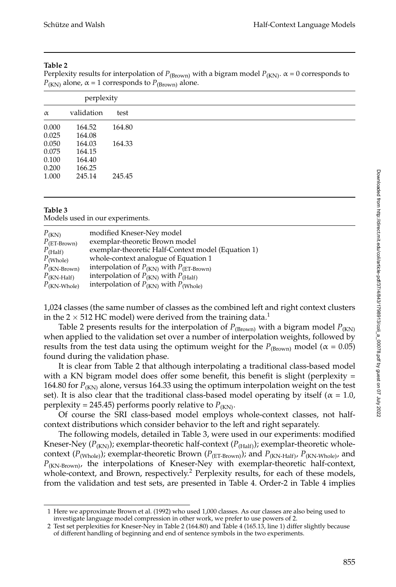#### **Table 2**

Perplexity results for interpolation of  $P_{(Brown)}$  with a bigram model  $P_{(KN)}$ .  $\alpha = 0$  corresponds to *P*<sub>(KN)</sub> alone,  $\alpha$  = 1 corresponds to *P*<sub>(Brown)</sub> alone.

| perplexity |        |
|------------|--------|
| validation | test   |
| 164.52     | 164.80 |
| 164.08     |        |
| 164.03     | 164.33 |
| 164.15     |        |
| 164.40     |        |
| 166.25     |        |
| 245.14     | 245.45 |
|            |        |

#### **Table 3**

Models used in our experiments.

| $P_{(KN)}$              | modified Kneser-Ney model                                |
|-------------------------|----------------------------------------------------------|
| $P_{\text{(ET-Brown)}}$ | exemplar-theoretic Brown model                           |
| $P_{(Half)}$            | exemplar-theoretic Half-Context model (Equation 1)       |
| $P_{(Whole)}$           | whole-context analogue of Equation 1                     |
| $P_{\text{(KN-Brown)}}$ | interpolation of $P_{(KN)}$ with $P_{(ET\text{-Brown})}$ |
| $P_{(KN\text{-Half})}$  | interpolation of $P_{(KN)}$ with $P_{(Half)}$            |
| $P_{\text{(KN-Whole)}}$ | interpolation of $P_{(KN)}$ with $P_{(Whole)}$           |

1,024 classes (the same number of classes as the combined left and right context clusters in the 2  $\times$  512 HC model) were derived from the training data.<sup>1</sup>

Table 2 presents results for the interpolation of  $P_{(\text{Brown})}$  with a bigram model  $P_{(\text{KN})}$ when applied to the validation set over a number of interpolation weights, followed by results from the test data using the optimum weight for the  $P_{(Brown)}$  model ( $\alpha = 0.05$ ) found during the validation phase.

It is clear from Table 2 that although interpolating a traditional class-based model with a KN bigram model does offer some benefit, this benefit is slight (perplexity  $=$ 164.80 for  $P_{(KN)}$  alone, versus 164.33 using the optimum interpolation weight on the test set). It is also clear that the traditional class-based model operating by itself ( $\alpha = 1.0$ , perplexity = 245.45) performs poorly relative to  $P_{(KN)}$ .

Of course the SRI class-based model employs whole-context classes, not halfcontext distributions which consider behavior to the left and right separately.

The following models, detailed in Table 3, were used in our experiments: modified Kneser-Ney ( $P_{(KN)}$ ); exemplar-theoretic half-context ( $P_{(Half)}$ ); exemplar-theoretic wholecontext ( $P_{(Whole)}$ ); exemplar-theoretic Brown ( $P_{(ET-Brown)}$ ); and  $P_{(KN\text{-Half})}$ ,  $P_{(KN\text{-Whole})}$ , and *P*(KN-Brown), the interpolations of Kneser-Ney with exemplar-theoretic half-context, whole-context, and Brown, respectively.<sup>2</sup> Perplexity results, for each of these models, from the validation and test sets, are presented in Table 4. Order-2 in Table 4 implies

<sup>1</sup> Here we approximate Brown et al. (1992) who used 1,000 classes. As our classes are also being used to investigate language model compression in other work, we prefer to use powers of 2.

<sup>2</sup> Test set perplexities for Kneser-Ney in Table 2 (164.80) and Table 4 (165.13, line 1) differ slightly because of different handling of beginning and end of sentence symbols in the two experiments.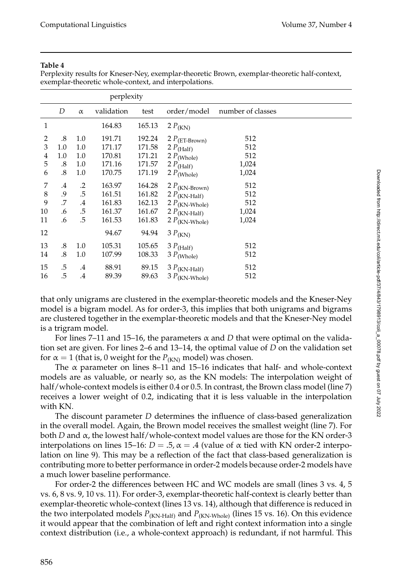#### **Table 4**

Perplexity results for Kneser-Ney, exemplar-theoretic Brown, exemplar-theoretic half-context, exemplar-theoretic whole-context, and interpolations.

| perplexity     |         |            |            |        |                           |                   |  |
|----------------|---------|------------|------------|--------|---------------------------|-------------------|--|
|                | D       | $\alpha$   | validation | test   | order/model               | number of classes |  |
| $\mathbf{1}$   |         |            | 164.83     | 165.13 | $2 P_{(KN)}$              |                   |  |
| $\overline{2}$ | .8      | 1.0        | 191.71     | 192.24 | 2 $P$ (ET-Brown)          | 512               |  |
| 3              | 1.0     | 1.0        | 171.17     | 171.58 | 2 $P_{(Half)}$            | 512               |  |
| 4              | $1.0\,$ | 1.0        | 170.81     | 171.21 | 2 $P$ (Whole)             | 512               |  |
| 5              | .8      | 1.0        | 171.16     | 171.57 | $2 P_{(Half)}$            | 1,024             |  |
| 6              | .8      | 1.0        | 170.75     | 171.19 | $2 P$ (Whole)             | 1,024             |  |
|                |         |            |            |        |                           |                   |  |
| 7              | $\cdot$ | $\cdot$ .2 | 163.97     | 164.28 | 2 $P_{(KN\text{-}Brown)}$ | 512               |  |
| 8              | .9      | $.5\,$     | 161.51     | 161.82 | 2 $P_{(KN\text{-Half})}$  | 512               |  |
| 9              | .7      | $\cdot$    | 161.83     | 162.13 | 2 $P_{(KN\text{-}Whole)}$ | 512               |  |
| 10             | .6      | $.5\,$     | 161.37     | 161.67 | 2 $P_{(KN\text{-Half})}$  | 1,024             |  |
| 11             | .6      | .5         | 161.53     | 161.83 | 2 $P_{(KN\text{-}Whole)}$ | 1,024             |  |
|                |         |            |            |        |                           |                   |  |
| 12             |         |            | 94.67      | 94.94  | $3\ P_{\rm (KN)}$         |                   |  |
|                |         |            |            |        |                           |                   |  |
| 13             | .8      | $1.0\,$    | 105.31     | 105.65 | $3 P_{(Half)}$            | 512               |  |
| 14             | .8      | 1.0        | 107.99     | 108.33 | $3 P$ (Whole)             | 512               |  |
| 15             | .5      | $\cdot$    | 88.91      | 89.15  |                           | 512               |  |
|                |         |            |            |        | $3 P_{(KN\text{-Half})}$  |                   |  |
| 16             | .5      | $\cdot$ 4  | 89.39      | 89.63  | $3 P(KN\text{-Whole})$    | 512               |  |

that only unigrams are clustered in the exemplar-theoretic models and the Kneser-Ney model is a bigram model. As for order-3, this implies that both unigrams and bigrams are clustered together in the exemplar-theoretic models and that the Kneser-Ney model is a trigram model.

For lines 7–11 and 15–16, the parameters α and *D* that were optimal on the validation set are given. For lines 2–6 and 13–14, the optimal value of *D* on the validation set for  $\alpha = 1$  (that is, 0 weight for the  $P_{(KN)}$  model) was chosen.

The  $\alpha$  parameter on lines 8–11 and 15–16 indicates that half- and whole-context models are as valuable, or nearly so, as the KN models: The interpolation weight of half/whole-context models is either 0.4 or 0.5. In contrast, the Brown class model (line 7) receives a lower weight of 0.2, indicating that it is less valuable in the interpolation with KN.

The discount parameter *D* determines the influence of class-based generalization in the overall model. Again, the Brown model receives the smallest weight (line 7). For both *D* and α, the lowest half/whole-context model values are those for the KN order-3 interpolations on lines 15–16:  $D = .5$ ,  $\alpha = .4$  (value of  $\alpha$  tied with KN order-2 interpolation on line 9). This may be a reflection of the fact that class-based generalization is contributing more to better performance in order-2 models because order-2 models have a much lower baseline performance.

For order-2 the differences between HC and WC models are small (lines 3 vs. 4, 5 vs. 6, 8 vs. 9, 10 vs. 11). For order-3, exemplar-theoretic half-context is clearly better than exemplar-theoretic whole-context (lines 13 vs. 14), although that difference is reduced in the two interpolated models  $P_{(KN\text{-}Half)}$  and  $P_{(KN\text{-}Whole)}$  (lines 15 vs. 16). On this evidence it would appear that the combination of left and right context information into a single context distribution (i.e., a whole-context approach) is redundant, if not harmful. This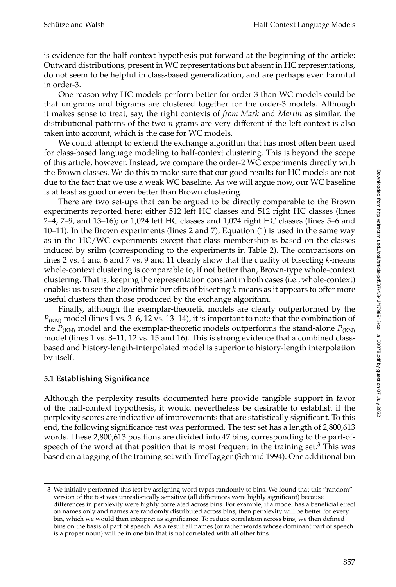is evidence for the half-context hypothesis put forward at the beginning of the article: Outward distributions, present in WC representations but absent in HC representations, do not seem to be helpful in class-based generalization, and are perhaps even harmful in order-3.

One reason why HC models perform better for order-3 than WC models could be that unigrams and bigrams are clustered together for the order-3 models. Although it makes sense to treat, say, the right contexts of *from Mark* and *Martin* as similar, the distributional patterns of the two *n*-grams are very different if the left context is also taken into account, which is the case for WC models.

We could attempt to extend the exchange algorithm that has most often been used for class-based language modeling to half-context clustering. This is beyond the scope of this article, however. Instead, we compare the order-2 WC experiments directly with the Brown classes. We do this to make sure that our good results for HC models are not due to the fact that we use a weak WC baseline. As we will argue now, our WC baseline is at least as good or even better than Brown clustering.

There are two set-ups that can be argued to be directly comparable to the Brown experiments reported here: either 512 left HC classes and 512 right HC classes (lines 2–4, 7–9, and 13–16); or 1,024 left HC classes and 1,024 right HC classes (lines 5–6 and 10–11). In the Brown experiments (lines 2 and 7), Equation (1) is used in the same way as in the HC/WC experiments except that class membership is based on the classes induced by srilm (corresponding to the experiments in Table 2). The comparisons on lines 2 vs. 4 and 6 and 7 vs. 9 and 11 clearly show that the quality of bisecting *k*-means whole-context clustering is comparable to, if not better than, Brown-type whole-context clustering. That is, keeping the representation constant in both cases (i.e., whole-context) enables us to see the algorithmic benefits of bisecting *k*-means as it appears to offer more useful clusters than those produced by the exchange algorithm.

Finally, although the exemplar-theoretic models are clearly outperformed by the  $P_{(KN)}$  model (lines 1 vs. 3–6, 12 vs. 13–14), it is important to note that the combination of the  $P_{(KN)}$  model and the exemplar-theoretic models outperforms the stand-alone  $P_{(KN)}$ model (lines 1 vs. 8–11, 12 vs. 15 and 16). This is strong evidence that a combined classbased and history-length-interpolated model is superior to history-length interpolation by itself.

## **5.1 Establishing Significance**

Although the perplexity results documented here provide tangible support in favor of the half-context hypothesis, it would nevertheless be desirable to establish if the perplexity scores are indicative of improvements that are statistically significant. To this end, the following significance test was performed. The test set has a length of 2,800,613 words. These 2,800,613 positions are divided into 47 bins, corresponding to the part-ofspeech of the word at that position that is most frequent in the training set. $3$  This was based on a tagging of the training set with TreeTagger (Schmid 1994). One additional bin

<sup>3</sup> We initially performed this test by assigning word types randomly to bins. We found that this "random" version of the test was unrealistically sensitive (all differences were highly significant) because differences in perplexity were highly correlated across bins. For example, if a model has a beneficial effect on names only and names are randomly distributed across bins, then perplexity will be better for every bin, which we would then interpret as significance. To reduce correlation across bins, we then defined bins on the basis of part of speech. As a result all names (or rather words whose dominant part of speech is a proper noun) will be in one bin that is not correlated with all other bins.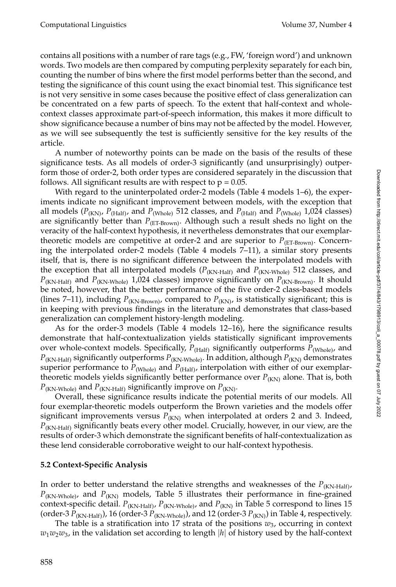contains all positions with a number of rare tags (e.g., FW, 'foreign word') and unknown words. Two models are then compared by computing perplexity separately for each bin, counting the number of bins where the first model performs better than the second, and testing the significance of this count using the exact binomial test. This significance test is not very sensitive in some cases because the positive effect of class generalization can be concentrated on a few parts of speech. To the extent that half-context and wholecontext classes approximate part-of-speech information, this makes it more difficult to show significance because a number of bins may not be affected by the model. However, as we will see subsequently the test is sufficiently sensitive for the key results of the article.

A number of noteworthy points can be made on the basis of the results of these significance tests. As all models of order-3 significantly (and unsurprisingly) outperform those of order-2, both order types are considered separately in the discussion that follows. All significant results are with respect to  $p = 0.05$ .

With regard to the uninterpolated order-2 models (Table 4 models 1–6), the experiments indicate no significant improvement between models, with the exception that all models ( $P_{(KN)}$ ,  $P_{(H\text{alf})}$ , and  $P_{(Whole)}$  512 classes, and  $P_{(H\text{alf})}$  and  $P_{(Whole)}$  1,024 classes) are significantly better than  $P_{(ET-Brown)}$ . Although such a result sheds no light on the veracity of the half-context hypothesis, it nevertheless demonstrates that our exemplartheoretic models are competitive at order-2 and are superior to  $P_{\text{ETEBrown}}$ . Concerning the interpolated order-2 models (Table 4 models 7–11), a similar story presents itself, that is, there is no significant difference between the interpolated models with the exception that all interpolated models ( $P_{(KN\text{-Half})}$  and  $P_{(KN\text{-Whole})}$  512 classes, and  $P_{(KN\text{-Half})}$  and  $P_{(KN\text{-}Whole)}$  1,024 classes) improve significantly on  $P_{(KN\text{-}Brown)}$ . It should be noted, however, that the better performance of the five order-2 class-based models (lines 7–11), including  $P_{(KN\text{-Brown})}$ , compared to  $P_{(KN)}$ , is statistically significant; this is in keeping with previous findings in the literature and demonstrates that class-based generalization can complement history-length modeling.

As for the order-3 models (Table 4 models 12–16), here the significance results demonstrate that half-contextualization yields statistically significant improvements over whole-context models. Specifically,  $P_{(Half)}$  significantly outperforms  $P_{(Whole)}$ , and  $P_{(KN\text{-Half})}$  significantly outperforms  $P_{(KN\text{-}Whole)}$ . In addition, although  $P_{(KN)}$  demonstrates superior performance to  $P_{(Whole)}$  and  $P_{(Half)}$ , interpolation with either of our exemplartheoretic models yields significantly better performance over  $P_{(KN)}$  alone. That is, both  $P_{(KN\text{-}Whole)}$  and  $P_{(KN\text{-}Half)}$  significantly improve on  $P_{(KN)}$ .

Overall, these significance results indicate the potential merits of our models. All four exemplar-theoretic models outperform the Brown varieties and the models offer significant improvements versus  $P_{(KN)}$  when interpolated at orders 2 and 3. Indeed, *P*<sub>(KN-Half)</sub> significantly beats every other model. Crucially, however, in our view, are the results of order-3 which demonstrate the significant benefits of half-contextualization as these lend considerable corroborative weight to our half-context hypothesis.

#### **5.2 Context-Specific Analysis**

In order to better understand the relative strengths and weaknesses of the  $P_{(KN\text{-Half})}$ ,  $P_{(KN\text{-}Whole)}$ , and  $P_{(KN)}$  models, Table 5 illustrates their performance in fine-grained context-specific detail.  $P_{(KN\text{-Half})}$ ,  $P_{(KN\text{-Whole})}$ , and  $P_{(KN)}$  in Table 5 correspond to lines 15 (order-3  $P_{(KN\text{-Half})}$ ), 16 (order-3  $P_{(KN\text{-Whole})}$ ), and 12 (order-3  $P_{(KN)}$ ) in Table 4, respectively.

The table is a stratification into 17 strata of the positions  $w_3$ , occurring in context  $w_1w_2w_3$ , in the validation set according to length |h| of history used by the half-context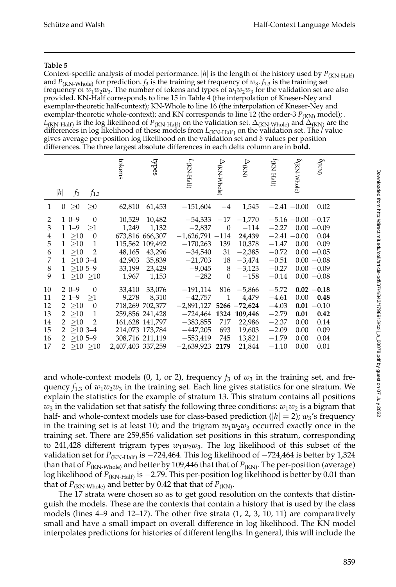#### **Table 5**

Context-specific analysis of model performance.  $|h|$  is the length of the history used by  $P_{(KN\text{-Half})}$ and  $P_{(KN-Whole)}$  for prediction.  $f_3$  is the training set frequency of  $w_3$ .  $f_{1,3}$  is the training set frequency of  $w_1w_2w_3$ . The number of tokens and types of  $w_1w_2w_3$  for the validation set are also provided. KN-Half corresponds to line 15 in Table 4 (the interpolation of Kneser-Ney and exemplar-theoretic half-context); KN-Whole to line 16 (the interpolation of Kneser-Ney and exemplar-theoretic whole-context); and KN corresponds to line 12 (the order-3  $P_{(KN)}$  model); .  $L_{(KN\text{-Half})}$  is the log likelihood of  $P_{(KN\text{-Half})}$  on the validation set.  $\Delta_{(KN\text{-Whole})}$  and  $\Delta_{(KN)}$  are the differences in log likelihood of these models from *L*(KN-Half) on the validation set. The *l* value gives average per-position log likelihood on the validation set and δ values per position differences. The three largest absolute differences in each delta column are in **bold**.

|                                                   | h <br>$f_{1,3}$<br>$f_3$                                                                                                                                                          | tokens<br>types                                                                                                                                        | $L_{\rm (KN\text{-}H\,all)}$                                                                                    | $\Delta_{\rm KNN}$<br>$\Delta$ (KN-Whole)                                                                                                           | $l_{\text{KNN-Hall}}$                                                                | $\delta_{\rm (KN\textrm{-}Whole)}$<br>$\delta_{\rm (KN)}$                                                                                            |  |
|---------------------------------------------------|-----------------------------------------------------------------------------------------------------------------------------------------------------------------------------------|--------------------------------------------------------------------------------------------------------------------------------------------------------|-----------------------------------------------------------------------------------------------------------------|-----------------------------------------------------------------------------------------------------------------------------------------------------|--------------------------------------------------------------------------------------|------------------------------------------------------------------------------------------------------------------------------------------------------|--|
| $\mathbf{1}$                                      | $\geq 0$<br>>0<br>$\overline{0}$                                                                                                                                                  | 62,810<br>61,453                                                                                                                                       | $-151,604$                                                                                                      | 1,545<br>$-4$                                                                                                                                       |                                                                                      | $-2.41 - 0.00$<br>0.02                                                                                                                               |  |
| 2<br>$\mathfrak{Z}$<br>4<br>5<br>6<br>7<br>8<br>9 | $10-9$<br>$\theta$<br>$11-9$<br>>1<br>1 >10<br>$\overline{0}$<br>1 > 10<br>1<br>1 >10<br>2<br>$1 > 10$ 3-4<br>$1 > 105-9$<br>$1 \geq 10 \geq 10$                                  | 10,529<br>10,482<br>1,249<br>1,132<br>673,816 666,307<br>115,562 109,492<br>48,165<br>43,296<br>42,903<br>35,839<br>33,199<br>23,429<br>1,967<br>1,153 | $-54,333$<br>$-2,837$<br>$-1,626,791 -114$<br>$-170,263$<br>$-34,540$<br>$-21,703$<br>$-9,045$<br>$-282$        | $-1,770$<br>$-17$<br>$\overline{0}$<br>$-114$<br>24,439<br>10,378<br>139<br>$-2,385$<br>31<br>18<br>$-3,474$<br>8<br>$-3,123$<br>$\theta$<br>$-158$ | $-2.27$<br>$-1.47$<br>$-0.72$<br>$-0.51$<br>$-0.27$<br>$-0.14$                       | $-5.16 - 0.00 - 0.17$<br>$0.00 - 0.09$<br>$-2.41 - 0.00$<br>0.04<br>0.00<br>0.09<br>$0.00 - 0.05$<br>$0.00 - 0.08$<br>$0.00 - 0.09$<br>$0.00 - 0.08$ |  |
| 10<br>11<br>12<br>13<br>14<br>15<br>16<br>17      | $20-9$<br>$\theta$<br>$21-9$<br>>1<br>$2 \ge 10$<br>$\overline{0}$<br>2 > 10<br>$\mathbf{1}$<br>2 > 10<br>2<br>$2 > 10$ 3-4<br>$2 > 105-9$<br>$\geq 10$ $\geq 10$<br>$\mathbf{2}$ | 33,410<br>33,076<br>9,278<br>8,310<br>718,269 702,377<br>259,856 241,428<br>161,628 141,797<br>214,073 173,784<br>308,716 211,119<br>2,407,403 337,259 | $-191,114$<br>$-42,757$<br>$-2,891,127$<br>$-724,464$<br>$-383,855$<br>$-447,205$<br>$-553,419$<br>$-2,639,923$ | $816 - 5,866$<br>1<br>4,479<br>$5266 - 72,624$<br>1324 109,446<br>717<br>22,986<br>693<br>19,603<br>745<br>13,821<br>21,844<br>2179                 | $-5.72$<br>$-4.61$<br>$-4.03$<br>$-2.79$<br>$-2.37$<br>$-2.09$<br>$-1.79$<br>$-1.10$ | $0.02 - 0.18$<br>0.00<br>0.48<br>$0.01 - 0.10$<br>0.01<br>0.42<br>0.00<br>0.14<br>0.00<br>0.09<br>0.00<br>0.04<br>0.00<br>0.01                       |  |

and whole-context models (0, 1, or 2), frequency  $f_3$  of  $w_3$  in the training set, and frequency  $f_{1,3}$  of  $w_1w_2w_3$  in the training set. Each line gives statistics for one stratum. We explain the statistics for the example of stratum 13. This stratum contains all positions  $w_3$  in the validation set that satisfy the following three conditions:  $w_1w_2$  is a bigram that half- and whole-context models use for class-based prediction ( $|h| = 2$ );  $w_3$ 's frequency in the training set is at least 10; and the trigram  $w_1w_2w_3$  occurred exactly once in the training set. There are 259,856 validation set positions in this stratum, corresponding to 241,428 different trigram types  $w_1w_2w_3$ . The log likelihood of this subset of the validation set for *P*(KN-Half) is −724,464. This log likelihood of −724,464 is better by 1,324 than that of  $P_{(KN\text{-}Whole)}$  and better by 109,446 that that of  $P_{(KN\text{-}})$ . The per-position (average) log likelihood of *P*<sub>(KN-Half)</sub> is −2.79. This per-position log likelihood is better by 0.01 than that of  $P_{(KN\text{-}Whole)}$  and better by 0.42 that that of  $P_{(KN)}$ .

The 17 strata were chosen so as to get good resolution on the contexts that distinguish the models. These are the contexts that contain a history that is used by the class models (lines  $4-9$  and  $12-17$ ). The other five strata  $(1, 2, 3, 10, 11)$  are comparatively small and have a small impact on overall difference in log likelihood. The KN model interpolates predictions for histories of different lengths. In general, this will include the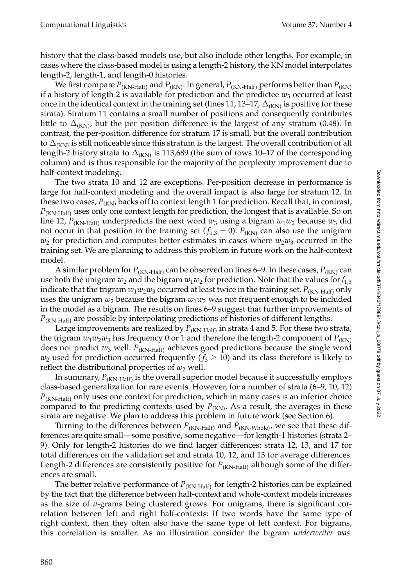history that the class-based models use, but also include other lengths. For example, in cases where the class-based model is using a length-2 history, the KN model interpolates length-2, length-1, and length-0 histories.

We first compare  $P_{(KN\text{-Half})}$  and  $P_{(KN)}$ . In general,  $P_{(KN\text{-Half})}$  performs better than  $P_{(KN)}$ if a history of length 2 is available for prediction and the predictee  $w_3$  occurred at least once in the identical context in the training set (lines 11, 13–17,  $\Delta_{(KN)}$  is positive for these strata). Stratum 11 contains a small number of positions and consequently contributes little to  $\Delta_{KNN}$ , but the per position difference is the largest of any stratum (0.48). In contrast, the per-position difference for stratum 17 is small, but the overall contribution to  $\Delta_{K}$  is still noticeable since this stratum is the largest. The overall contribution of all length-2 history strata to  $\Delta_{\{KN\}}$  is 113,689 (the sum of rows 10–17 of the corresponding column) and is thus responsible for the majority of the perplexity improvement due to half-context modeling.

The two strata 10 and 12 are exceptions. Per-position decrease in performance is large for half-context modeling and the overall impact is also large for stratum 12. In these two cases,  $P_{(KN)}$  backs off to context length 1 for prediction. Recall that, in contrast,  $P_{(KN\text{-Half})}$  uses only one context length for prediction, the longest that is available. So on line 12, *P*<sub>(KN-Half)</sub> underpredicts the next word  $w_3$  using a bigram  $w_1w_2$  because  $w_3$  did not occur in that position in the training set ( $f_{1,3} = 0$ ).  $P_{(KN)}$  can also use the unigram  $w_2$  for prediction and computes better estimates in cases where  $w_2w_3$  occurred in the training set. We are planning to address this problem in future work on the half-context model.

A similar problem for  $P_{(KN\text{-Half})}$  can be observed on lines 6–9. In these cases,  $P_{(KN)}$  can use both the unigram  $w_2$  and the bigram  $w_1w_2$  for prediction. Note that the values for  $f_{1,3}$ indicate that the trigram  $w_1w_2w_3$  occurred at least twice in the training set.  $P_{(KN\text{-Half})}$  only uses the unigram  $w_2$  because the bigram  $w_1w_2$  was not frequent enough to be included in the model as a bigram. The results on lines 6–9 suggest that further improvements of *P*(KN-Half) are possible by interpolating predictions of histories of different lengths.

Large improvements are realized by  $P_{(KN\text{-Half})}$  in strata 4 and 5. For these two strata, the trigram  $w_1w_2w_3$  has frequency 0 or 1 and therefore the length-2 component of  $P_{(KN)}$ does not predict  $w_3$  well.  $P_{(KN\text{-Half})}$  achieves good predictions because the single word  $w_2$  used for prediction occurred frequently ( $f_3 \ge 10$ ) and its class therefore is likely to reflect the distributional properties of  $w_2$  well.

In summary,  $P_{(KN\text{-Half})}$  is the overall superior model because it successfully employs class-based generalization for rare events. However, for a number of strata (6–9, 10, 12) *P*<sub>(KN-Half)</sub> only uses one context for prediction, which in many cases is an inferior choice compared to the predicting contexts used by  $P_{(KN)}$ . As a result, the averages in these strata are negative. We plan to address this problem in future work (see Section 6).

Turning to the differences between  $P_{(KN\text{-Half})}$  and  $P_{(KN\text{-Whole})}$ , we see that these differences are quite small—some positive, some negative—for length-1 histories (strata 2– 9). Only for length-2 histories do we find larger differences: strata 12, 13, and 17 for total differences on the validation set and strata 10, 12, and 13 for average differences. Length-2 differences are consistently positive for  $P_{(KN\text{-Half})}$  although some of the differences are small.

The better relative performance of  $P_{(KN\text{-Half})}$  for length-2 histories can be explained by the fact that the difference between half-context and whole-context models increases as the size of *n*-grams being clustered grows. For unigrams, there is significant correlation between left and right half-contexts: If two words have the same type of right context, then they often also have the same type of left context. For bigrams, this correlation is smaller. As an illustration consider the bigram *underwriter was*.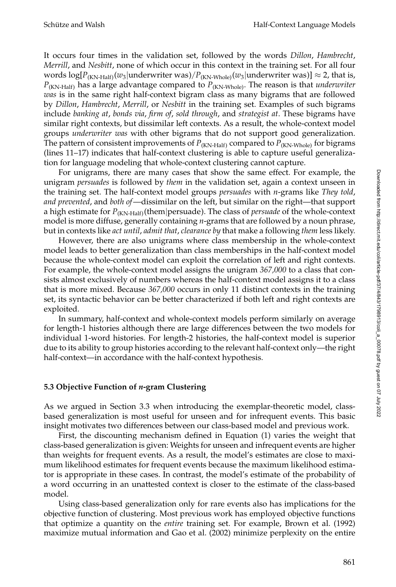It occurs four times in the validation set, followed by the words *Dillon*, *Hambrecht*, *Merrill*, and *Nesbitt*, none of which occur in this context in the training set. For all four words  $\log[P_{(KN\text{-Half})}(w_3|$ underwriter was)/ $P_{(KN\text{-Whole})}(w_3|$ underwriter was)]  $\approx$  2, that is, *P*(KN-Half) has a large advantage compared to *P*(KN-Whole). The reason is that *underwriter was* is in the same right half-context bigram class as many bigrams that are followed by *Dillon*, *Hambrecht*, *Merrill*, or *Nesbitt* in the training set. Examples of such bigrams include *banking at*, *bonds via*, *firm of*, *sold through*, and *strategist at*. These bigrams have similar right contexts, but dissimilar left contexts. As a result, the whole-context model groups *underwriter was* with other bigrams that do not support good generalization. The pattern of consistent improvements of  $P_{(KN\text{-Half})}$  compared to  $P_{(KN\text{-Whole})}$  for bigrams (lines 11–17) indicates that half-context clustering is able to capture useful generalization for language modeling that whole-context clustering cannot capture.

For unigrams, there are many cases that show the same effect. For example, the unigram *persuades* is followed by *them* in the validation set, again a context unseen in the training set. The half-context model groups *persuades* with *n*-grams like *They told*, *and prevented*, and *both of*—dissimilar on the left, but similar on the right—that support a high estimate for  $P_{(KN\text{-Half})}$ (them|persuade). The class of *persuade* of the whole-context model is more diffuse, generally containing *n*-grams that are followed by a noun phrase, but in contexts like *act until*, *admit that*, *clearance by* that make a following *them* less likely.

However, there are also unigrams where class membership in the whole-context model leads to better generalization than class memberships in the half-context model because the whole-context model can exploit the correlation of left and right contexts. For example, the whole-context model assigns the unigram *367,000* to a class that consists almost exclusively of numbers whereas the half-context model assigns it to a class that is more mixed. Because *367,000* occurs in only 11 distinct contexts in the training set, its syntactic behavior can be better characterized if both left and right contexts are exploited.

In summary, half-context and whole-context models perform similarly on average for length-1 histories although there are large differences between the two models for individual 1-word histories. For length-2 histories, the half-context model is superior due to its ability to group histories according to the relevant half-context only—the right half-context—in accordance with the half-context hypothesis.

## **5.3 Objective Function of** *n***-gram Clustering**

As we argued in Section 3.3 when introducing the exemplar-theoretic model, classbased generalization is most useful for unseen and for infrequent events. This basic insight motivates two differences between our class-based model and previous work.

First, the discounting mechanism defined in Equation (1) varies the weight that class-based generalization is given: Weights for unseen and infrequent events are higher than weights for frequent events. As a result, the model's estimates are close to maximum likelihood estimates for frequent events because the maximum likelihood estimator is appropriate in these cases. In contrast, the model's estimate of the probability of a word occurring in an unattested context is closer to the estimate of the class-based model.

Using class-based generalization only for rare events also has implications for the objective function of clustering. Most previous work has employed objective functions that optimize a quantity on the *entire* training set. For example, Brown et al. (1992) maximize mutual information and Gao et al. (2002) minimize perplexity on the entire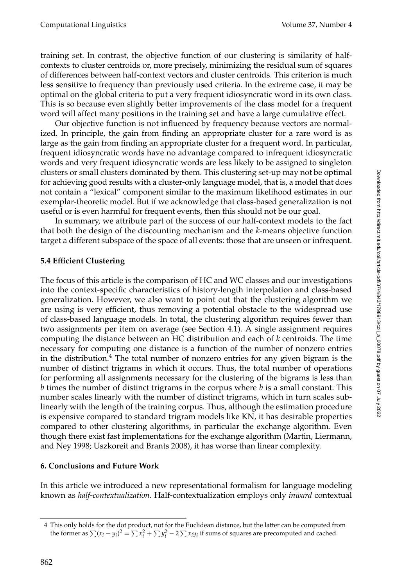training set. In contrast, the objective function of our clustering is similarity of halfcontexts to cluster centroids or, more precisely, minimizing the residual sum of squares of differences between half-context vectors and cluster centroids. This criterion is much less sensitive to frequency than previously used criteria. In the extreme case, it may be optimal on the global criteria to put a very frequent idiosyncratic word in its own class. This is so because even slightly better improvements of the class model for a frequent word will affect many positions in the training set and have a large cumulative effect.

Our objective function is not influenced by frequency because vectors are normalized. In principle, the gain from finding an appropriate cluster for a rare word is as large as the gain from finding an appropriate cluster for a frequent word. In particular, frequent idiosyncratic words have no advantage compared to infrequent idiosyncratic words and very frequent idiosyncratic words are less likely to be assigned to singleton clusters or small clusters dominated by them. This clustering set-up may not be optimal for achieving good results with a cluster-only language model, that is, a model that does not contain a "lexical" component similar to the maximum likelihood estimates in our exemplar-theoretic model. But if we acknowledge that class-based generalization is not useful or is even harmful for frequent events, then this should not be our goal.

In summary, we attribute part of the success of our half-context models to the fact that both the design of the discounting mechanism and the *k*-means objective function target a different subspace of the space of all events: those that are unseen or infrequent.

## **5.4 Efficient Clustering**

The focus of this article is the comparison of HC and WC classes and our investigations into the context-specific characteristics of history-length interpolation and class-based generalization. However, we also want to point out that the clustering algorithm we are using is very efficient, thus removing a potential obstacle to the widespread use of class-based language models. In total, the clustering algorithm requires fewer than two assignments per item on average (see Section 4.1). A single assignment requires computing the distance between an HC distribution and each of *k* centroids. The time necessary for computing one distance is a function of the number of nonzero entries in the distribution.<sup>4</sup> The total number of nonzero entries for any given bigram is the number of distinct trigrams in which it occurs. Thus, the total number of operations for performing all assignments necessary for the clustering of the bigrams is less than *b* times the number of distinct trigrams in the corpus where *b* is a small constant. This number scales linearly with the number of distinct trigrams, which in turn scales sublinearly with the length of the training corpus. Thus, although the estimation procedure is expensive compared to standard trigram models like KN, it has desirable properties compared to other clustering algorithms, in particular the exchange algorithm. Even though there exist fast implementations for the exchange algorithm (Martin, Liermann, and Ney 1998; Uszkoreit and Brants 2008), it has worse than linear complexity.

# **6. Conclusions and Future Work**

In this article we introduced a new representational formalism for language modeling known as *half-contextualization*. Half-contextualization employs only *inward* contextual

<sup>4</sup> This only holds for the dot product, not for the Euclidean distance, but the latter can be computed from the former as  $\sum (x_i - y_i)^2 = \sum x_i^2 + \sum y_i^2 - 2 \sum x_i y_i$  if sums of squares are precomputed and cached.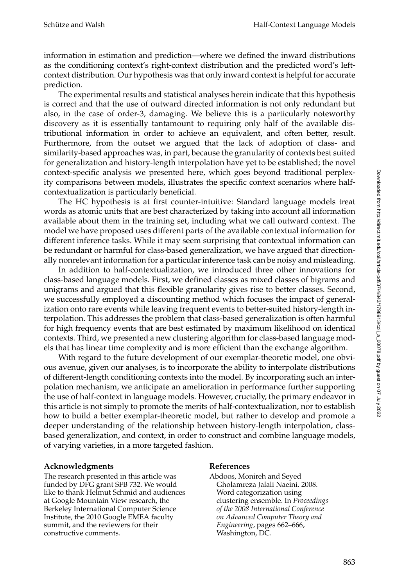information in estimation and prediction—where we defined the inward distributions as the conditioning context's right-context distribution and the predicted word's leftcontext distribution. Our hypothesis was that only inward context is helpful for accurate prediction.

The experimental results and statistical analyses herein indicate that this hypothesis is correct and that the use of outward directed information is not only redundant but also, in the case of order-3, damaging. We believe this is a particularly noteworthy discovery as it is essentially tantamount to requiring only half of the available distributional information in order to achieve an equivalent, and often better, result. Furthermore, from the outset we argued that the lack of adoption of class- and similarity-based approaches was, in part, because the granularity of contexts best suited for generalization and history-length interpolation have yet to be established; the novel context-specific analysis we presented here, which goes beyond traditional perplexity comparisons between models, illustrates the specific context scenarios where halfcontextualization is particularly beneficial.

The HC hypothesis is at first counter-intuitive: Standard language models treat words as atomic units that are best characterized by taking into account all information available about them in the training set, including what we call outward context. The model we have proposed uses different parts of the available contextual information for different inference tasks. While it may seem surprising that contextual information can be redundant or harmful for class-based generalization, we have argued that directionally nonrelevant information for a particular inference task can be noisy and misleading.

In addition to half-contextualization, we introduced three other innovations for class-based language models. First, we defined classes as mixed classes of bigrams and unigrams and argued that this flexible granularity gives rise to better classes. Second, we successfully employed a discounting method which focuses the impact of generalization onto rare events while leaving frequent events to better-suited history-length interpolation. This addresses the problem that class-based generalization is often harmful for high frequency events that are best estimated by maximum likelihood on identical contexts. Third, we presented a new clustering algorithm for class-based language models that has linear time complexity and is more efficient than the exchange algorithm.

With regard to the future development of our exemplar-theoretic model, one obvious avenue, given our analyses, is to incorporate the ability to interpolate distributions of different-length conditioning contexts into the model. By incorporating such an interpolation mechanism, we anticipate an amelioration in performance further supporting the use of half-context in language models. However, crucially, the primary endeavor in this article is not simply to promote the merits of half-contextualization, nor to establish how to build a better exemplar-theoretic model, but rather to develop and promote a deeper understanding of the relationship between history-length interpolation, classbased generalization, and context, in order to construct and combine language models, of varying varieties, in a more targeted fashion.

#### **Acknowledgments**

The research presented in this article was funded by DFG grant SFB 732. We would like to thank Helmut Schmid and audiences at Google Mountain View research, the Berkeley International Computer Science Institute, the 2010 Google EMEA faculty summit, and the reviewers for their constructive comments.

#### **References**

Abdoos, Monireh and Seyed Gholamreza Jalali Naeini. 2008. Word categorization using clustering ensemble. In *Proceedings of the 2008 International Conference on Advanced Computer Theory and Engineering*, pages 662–666, Washington, DC.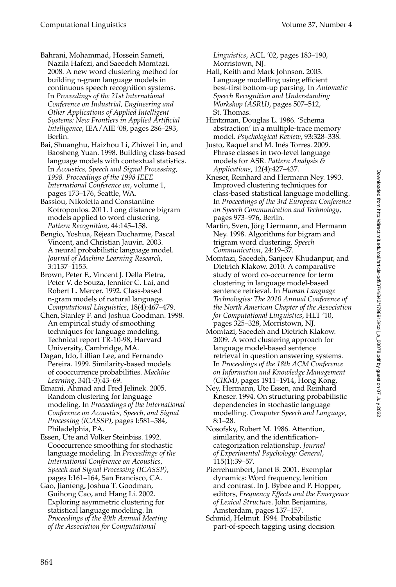- Bahrani, Mohammad, Hossein Sameti, Nazila Hafezi, and Saeedeh Momtazi. 2008. A new word clustering method for building n-gram language models in continuous speech recognition systems. In *Proceedings of the 21st International Conference on Industrial, Engineering and Other Applications of Applied Intelligent Systems: New Frontiers in Applied Artificial Intelligence*, IEA/AIE '08, pages 286–293, Berlin.
- Bai, Shuanghu, Haizhou Li, Zhiwei Lin, and Baosheng Yuan. 1998. Building class-based language models with contextual statistics. In *Acoustics, Speech and Signal Processing, 1998. Proceedings of the 1998 IEEE International Conference on*, volume 1, pages 173–176, Seattle, WA.
- Bassiou, Nikoletta and Constantine Kotropoulos. 2011. Long distance bigram models applied to word clustering. *Pattern Recognition*, 44:145–158.
- Bengio, Yoshua, Rejean Ducharme, Pascal ´ Vincent, and Christian Jauvin. 2003. A neural probabilistic language model. *Journal of Machine Learning Research*, 3:1137–1155.
- Brown, Peter F., Vincent J. Della Pietra, Peter V. de Souza, Jennifer C. Lai, and Robert L. Mercer. 1992. Class-based n-gram models of natural language. *Computational Linguistics*, 18(4):467–479.
- Chen, Stanley F. and Joshua Goodman. 1998. An empirical study of smoothing techniques for language modeling. Technical report TR-10-98, Harvard University, Cambridge, MA.
- Dagan, Ido, Lillian Lee, and Fernando Pereira. 1999. Similarity-based models of cooccurrence probabilities. *Machine Learning*, 34(1-3):43–69.
- Emami, Ahmad and Fred Jelinek. 2005. Random clustering for language modeling. In *Proceedings of the International Conference on Acoustics, Speech, and Signal Processing (ICASSP)*, pages I:581–584, Philadelphia, PA.
- Essen, Ute and Volker Steinbiss. 1992. Cooccurrence smoothing for stochastic language modeling. In *Proceedings of the International Conference on Acoustics, Speech and Signal Processing (ICASSP)*, pages I:161–164, San Francisco, CA.
- Gao, Jianfeng, Joshua T. Goodman, Guihong Cao, and Hang Li. 2002. Exploring asymmetric clustering for statistical language modeling. In *Proceedings of the 40th Annual Meeting of the Association for Computational*

*Linguistics*, ACL '02, pages 183–190, Morristown, NJ.

- Hall, Keith and Mark Johnson. 2003. Language modelling using efficient best-first bottom-up parsing. In *Automatic Speech Recognition and Understanding Workshop (ASRU)*, pages 507–512, St. Thomas.
- Hintzman, Douglas L. 1986. 'Schema abstraction' in a multiple-trace memory model. *Psychological Review*, 93:328–338.
- Justo, Raquel and M. Inés Torres. 2009. Phrase classes in two-level language models for ASR. *Pattern Analysis & Applications*, 12(4):427–437.
- Kneser, Reinhard and Hermann Ney. 1993. Improved clustering techniques for class-based statistical language modelling. In *Proceedings of the 3rd European Conference on Speech Communication and Technology*, pages 973–976, Berlin.
- Martin, Sven, Jörg Liermann, and Hermann Ney. 1998. Algorithms for bigram and trigram word clustering. *Speech Communication*, 24:19–37.
- Momtazi, Saeedeh, Sanjeev Khudanpur, and Dietrich Klakow. 2010. A comparative study of word co-occurrence for term clustering in language model-based sentence retrieval. In *Human Language Technologies: The 2010 Annual Conference of the North American Chapter of the Association for Computational Linguistics*, HLT '10, pages 325–328, Morristown, NJ.
- Momtazi, Saeedeh and Dietrich Klakow. 2009. A word clustering approach for language model-based sentence retrieval in question answering systems. In *Proceedings of the 18th ACM Conference on Information and Knowledge Management (CIKM)*, pages 1911–1914, Hong Kong.
- Ney, Hermann, Ute Essen, and Reinhard Kneser. 1994. On structuring probabilistic dependencies in stochastic language modelling. *Computer Speech and Language*, 8:1–28.
- Nosofsky, Robert M. 1986. Attention, similarity, and the identificationcategorization relationship. *Journal of Experimental Psychology: General*, 115(1):39–57.
- Pierrehumbert, Janet B. 2001. Exemplar dynamics: Word frequency, lenition and contrast. In J. Bybee and P. Hopper, editors, *Frequency Effects and the Emergence of Lexical Structure*. John Benjamins, Amsterdam, pages 137–157.
- Schmid, Helmut. 1994. Probabilistic part-of-speech tagging using decision